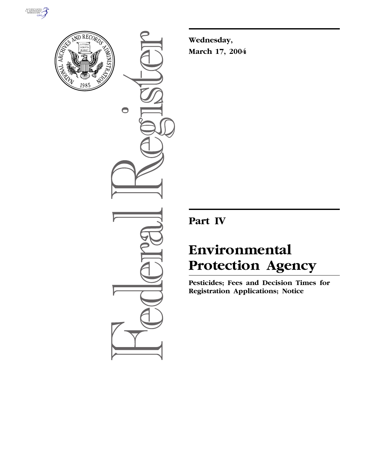



 $\bullet$ 

**Wednesday, March 17, 2004**

**Part IV**

# **Environmental Protection Agency**

**Pesticides; Fees and Decision Times for Registration Applications; Notice**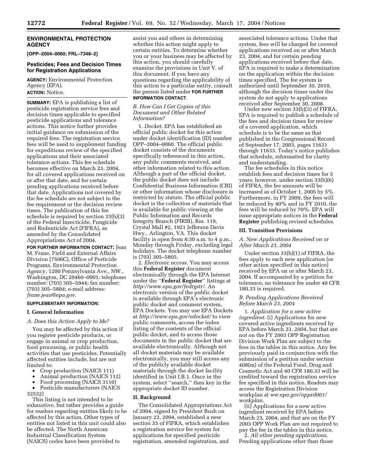### **ENVIRONMENTAL PROTECTION AGENCY**

**[OPP–2004–0060; FRL–7348–2]** 

### **Pesticides; Fees and Decision Times for Registration Applications**

**AGENCY:** Environmental Protection Agency (EPA). **ACTION:** Notice.

**SUMMARY:** EPA is publishing a list of pesticide registration service fees and decision times applicable to specified pesticide applications and tolerance actions. This notice further provides initial guidance on submission of the required fees. The registration service fees will be used to supplement funding for expeditious review of the specified applications and their associated tolerance actions. This fee schedule becomes effective on March 23, 2004, for all covered applications received on or after that date, and for certain pending applications received before that date. Applications not covered by the fee schedule are not subject to the fee requirement or the decision review times. The publication of this fee schedule is required by section 33(b)(3) of the Federal Insecticide, Fungicide and Rodenticide Act (FIFRA), as amended by the Consolidated Appropriations Act of 2004.

**FOR FURTHER INFORMATION CONTACT:** Jean M. Frane, Field and External Affairs Division (7506C), Office of Pesticide Programs, Environmental Protection Agency, 1200 Pennsylvania Ave., NW., Washington, DC 20460–0001; telephone number: (703) 305–5944; fax number: (703) 305–5884; e-mail address: *frane.jean@epa.gov*.

### **SUPPLEMENTARY INFORMATION:**

### **I. General Information**

#### *A. Does this Action Apply to Me?*

You may be affected by this action if you register pesticide products, or engage in animal or crop production, food processing, or public health activities that use pesticides. Potentially affected entities include, but are not limited to:

- Crop production (NAICS 111)
- Animal production (NAICS 112)
- Food processing (NAICS 3110)

• Pesticide manufacturers (NAICS 32532)

This listing is not intended to be exhaustive, but rather provides a guide for readers regarding entities likely to be affected by this action. Other types of entities not listed in this unit could also be affected. The North American Industrial Classification System (NAICS) codes have been provided to

assist you and others in determining whether this action might apply to certain entities. To determine whether you or your business may be affected by this action, you should carefully examine the provisions in Unit V. of this document. If you have any questions regarding the applicability of this action to a particular entity, consult the person listed under **FOR FURTHER INFORMATION CONTACT**.

### *B. How Can I Get Copies of this Document and Other Related Information?*

1. *Docket*. EPA has established an official public docket for this action under docket identification (ID) number OPP–2004–0060. The official public docket consists of the documents specifically referenced in this action, any public comments received, and other information related to this action. Although a part of the official docket, the public docket does not include Confidential Business Information (CBI) or other information whose disclosure is restricted by statute. The official public docket is the collection of materials that is available for public viewing at the Public Information and Records Integrity Branch (PIRIB), Rm. 119, Crystal Mall #2, 1921 Jefferson Davis Hwy., Arlington, VA. This docket facility is open from 8:30 a.m. to 4 p.m., Monday through Friday, excluding legal holidays. The docket telephone number is (703) 305–5805.

2. *Electronic access*. You may access this **Federal Register** document electronically through the EPA Internet under the ''**Federal Register**'' listings at *http://www.epa.gov/fedrgstr/*. An electronic version of the public docket is available through EPA's electronic public docket and comment system, EPA Dockets. You may use EPA Dockets at *http://www.epa.gov/edocket/* to view public comments, access the index listing of the contents of the official public docket, and to access those documents in the public docket that are available electronically. Although not all docket materials may be available electronically, you may still access any of the publicly available docket materials through the docket facility identified in Unit I.B.1. Once in the system, select ''search,'' then key in the appropriate docket ID number.

### **II. Background**

The Consolidated Appropriations Act of 2004, signed by President Bush on January 23, 2004, established a new section 33 of FIFRA, which establishes a registration service fee system for applications for specified pesticide registration, amended registration, and

associated tolerance actions. Under that system, fees will be charged for covered applications received on or after March 23, 2004, and for certain pending applications received before that date. EPA is required to make a determination on the application within the decision times specified. The fee system is authorized until September 30, 2010, although the decision times under the system do not apply to applications received after September 30, 2008.

Under new section 33(b)(3) of FIFRA, EPA is required to publish a schedule of the fees and decision times for review of a covered application, which schedule is to be the same as that published in the Congressional Record of September 17, 2003, pages 11631 through 11633. Today's notice publishes that schedule, reformatted for clarity and understanding.

The fee schedules in this notice establish fees and decision times for 5 years; however, under section 33(b)(6) of FIFRA, the fee amounts will be increased as of October 1, 2005 by 5%. Furthermore, in FY 2009, the fees will be reduced by 40% and in FY 2010, the fees will be reduced by 70%. EPA will issue appropriate notices in the **Federal Register** publishing revised schedules.

### **III. Transition Provisions**

### *A. New Applications Received on or After March 23, 2004*

Under section 33(b)(1) of FIFRA, the fees apply to each new application (or other action specified in this notice) received by EPA on or after March 23, 2004. If accompanied by a petition for tolerance, no tolerance fee under 40 CFR 180.33 is required.

### *B. Pending Applications Received Before March 23, 2004*

1. *Application for a new active ingredient*. (i) Applications for new covered active ingredients received by EPA before March 23, 2004, but that are not on the FY 2003 OPP Registration Division Work Plan are subject to the fees in the tables in this notice. Any fee previously paid in conjunction with the submission of a petition under section 408(m) of the Federal Food, Drug and Cosmetic Act and 40 CFR 180.33 will be credited toward the registration service fee specified in this notice. Readers may access the Registration Division workplan at *ww.epa.gov/opprd001/ workplan*.

(ii) Applications for a new active ingredient received by EPA before March 23, 2004, and that are on the FY 2003 OPP Work Plan are not required to pay the fee in the tables in this notice.

2. *All other pending applications*. Pending applications other than those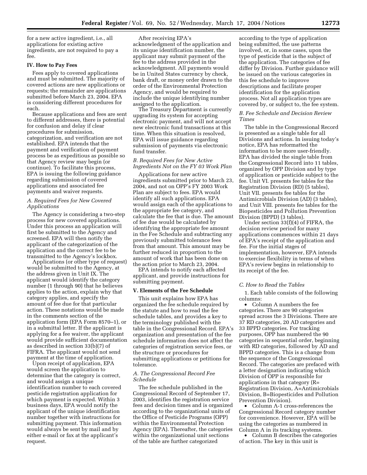for a new active ingredient, i.e., all applications for existing active ingredients, are not required to pay a fee.

### **IV. How to Pay Fees**

Fees apply to covered applications and must be submitted. The majority of covered actions are new applications or requests; the remainder are applications submitted before March 23, 2004. EPA is considering different procedures for each.

Because applications and fees are sent to different addresses, there is potential for confusion and delay if clear procedures for submission, categorization, and verification are not established. EPA intends that the payment and verification of payment process be as expeditious as possible so that Agency review may begin (or continue). To facilitate this process, EPA is issuing the following guidance regarding submission of covered applications and associated fee payments and waiver requests.

### *A. Required Fees for New Covered Applications*

The Agency is considering a two-step process for new covered applications. Under this process an application will first be submitted to the Agency and screened. EPA will then notify the applicant of the categorization of the application and the correct fee to be transmitted to the Agency's lockbox.

Applications (or other type of request) would be submitted to the Agency, at the address given in Unit IX. The applicant would identify the category number (1 through 90) that he believes applies to the action, explain why that category applies, and specify the amount of fee due for that particular action. These notations would be made in the comments section of the application form (EPA Form 8570–1), or in a submittal letter. If the applicant is applying for a fee waiver, the applicant would provide sufficient documentation as described in section 33(b)(7) of FIFRA. The applicant would not send payment at the time of application.

Upon receipt of application, EPA would screen the application to determine that the category is correct, and would assign a unique identification number to each covered pesticide registration application for which payment is expected. Within 3 business days, EPA would notify the applicant of the unique identification number together with instructions for submitting payment. This information would always be sent by mail and by either e-mail or fax at the applicant's request.

After receiving EPA's acknowledgment of the application and its unique identification number, the applicant may submit payment of the fee to the address provided in the acknowledgment. All payments would be in United States currency by check, bank draft, or money order drawn to the order of the Environmental Protection Agency, and would be required to include the unique identifying number assigned to the application.

The Treasury Department is currently upgrading its system for accepting electronic payment, and will not accept new electronic fund transactions at this time. When this situation is resolved, EPA will issue guidance regarding submission of payments via electronic fund transfer.

### *B. Required Fees for New Active Ingredients Not on the FY 03 Work Plan*

Applications for new active ingredients submitted prior to March 23, 2004, and not on OPP's FY 2003 Work Plan are subject to fees. EPA would identify all such applications. EPA would assign each of the applications to the appropriate fee category, and calculate the fee that is due. The amount of fee due would be calculated by identifying the appropriate fee amount in the Fee Schedule and subtracting any previously submitted tolerance fees from that amount. This amount may be further reduced in proportion to the amount of work that has been done on the action prior to March 23, 2004.

EPA intends to notify each affected applicant, and provide instructions for submitting payment.

### **V. Elements of the Fee Schedule**

This unit explains how EPA has organized the fee schedule required by the statute and how to read the fee schedule tables, and provides a key to the terminology published with the table in the Congressional Record. EPA's organization and presentation of the fee schedule information does not affect the categories of registration service fees, or the structure or procedures for submitting applications or petitions for tolerance.

### *A. The Congressional Record Fee Schedule*

The fee schedule published in the Congressional Record of September 17, 2003, identifies the registration service fees and decision times and is organized according to the organizational units of the Office of Pesticide Programs (OPP) within the Environmental Protection Agency (EPA). Thereafter, the categories within the organizational unit sections of the table are further categorized

according to the type of application being submitted, the use patterns involved, or, in some cases, upon the type of pesticide that is the subject of the application. The categories of fee differ by Division. Further guidance will be issued on the various categories in this fee schedule to improve descriptions and facilitate proper identification for the application process. Not all application types are covered by, or subject to, the fee system.

### *B. Fee Schedule and Decision Review Times*

The table in the Congressional Record is presented as a single table for all Divisions and actions. In issuing today's notice, EPA has reformatted the information to be more user-friendly. EPA has divided the single table from the Congressional Record into 11 tables, organized by OPP Division and by type of application or pesticide subject to the fee. Unit VI. presents fee tables for the Registration Division (RD) (5 tables), Unit VII. presents fee tables for the Antimicrobials Division (AD) (3 tables), and Unit VIII. presents fee tables for the Biopesticides and Pollution Prevention Division (BPPD) (3 tables).

Under section 33(f)(4) of FIFRA, the decision review period for many applications commences within 21 days of EPA's receipt of the application and fee. For the initial stages of implementation, however, EPA intends to exercise flexibility in terms of when EPA's review begins in relationship to its receipt of the fee.

### *C. How to Read the Tables*

1. Each table consists of the following columns:

• Column A numbers the fee categories. There are 90 categories spread across the 3 Divisions. There are 37 RD categories, 20 AD categories and 33 BPPD categories. For tracking purposes, OPP has numbered the 90 categories in sequential order, beginning with RD categories, followed by AD and BPPD categories. This is a change from the sequence of the Congressional Record. The categories are prefaced with a letter designation indicating which Division of OPP is responsible for applications in that category (R= Registration Division, A=Antimicrobials Division, B=Biopesticides and Pollution Prevention Division).

• Column A-1 cross-references the Congressional Record category number for convenience. However, EPA will be using the categories as numbered in Column A in its tracking systems.

• Column B describes the categories of action. The key in this unit is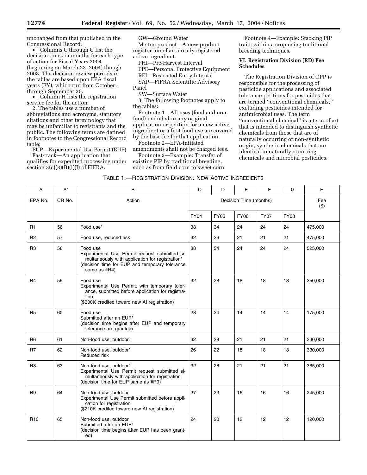unchanged from that published in the Congressional Record.

• Columns C through G list the decision times in months for each type of action for Fiscal Years 2004 (beginning on March 23, 2004) though 2008. The decision review periods in the tables are based upon EPA fiscal years (FY), which run from October 1 through September 30.

• Column H lists the registration service fee for the action.

2. The tables use a number of abbreviations and acronyms, statutory citations and other terminology that may be unfamiliar to registrants and the public. The following terms are defined in footnotes to the Congressional Record table:

EUP—Experimental Use Permit (EUP) Fast-track—An application that qualifies for expedited processing under

section  $3(c)(3)(B)(i)(I)$  of FIFRA.

GW—Ground Water

Me-too product—A new product registration of an already registered active ingredient.

PHI—Pre-Harvest Interval

PPE—Personal Protective Equipment

REI—Restricted Entry Interval

SAP—FIFRA Scientific Advisory

- Panel
	- SW—Surface Water

3. The following footnotes apply to the tables:

Footnote 1—All uses (food and nonfood) included in any original application or petition for a new active ingredient or a first food use are covered by the base fee for that application.

Footnote 2—EPA-initiated

amendments shall not be charged fees. Footnote 3—Example: Transfer of

existing PIP by traditional breeding, such as from field corn to sweet corn.

Footnote 4—Example: Stacking PIP traits within a crop using traditional breeding techniques.

### **VI. Registration Division (RD) Fee Schedules**

The Registration Division of OPP is responsible for the processing of pesticide applications and associated tolerance petitions for pesticides that are termed ''conventional chemicals,'' excluding pesticides intended for antimicrobial uses. The term ''conventional chemical'' is a term of art that is intended to distinguish synthetic chemicals from those that are of naturally occurring or non-synthetic origin, synthetic chemicals that are identical to naturally occurring chemicals and microbial pesticides.

|  | TABLE 1.—REGISTRATION DIVISION: NEW ACTIVE INGREDIENTS |
|--|--------------------------------------------------------|
|--|--------------------------------------------------------|

| A               | A1                | B                                                                                                                                                                                          | C           | D           | Е                      | F           | G           | H          |
|-----------------|-------------------|--------------------------------------------------------------------------------------------------------------------------------------------------------------------------------------------|-------------|-------------|------------------------|-------------|-------------|------------|
| EPA No.         | CR <sub>No.</sub> | Action                                                                                                                                                                                     |             |             | Decision Time (months) |             |             | Fee<br>(3) |
|                 |                   |                                                                                                                                                                                            | <b>FY04</b> | <b>FY05</b> | <b>FY06</b>            | <b>FY07</b> | <b>FY08</b> |            |
| R1              | 56                | Food use <sup>1</sup>                                                                                                                                                                      | 38          | 34          | 24                     | 24          | 24          | 475,000    |
| R <sub>2</sub>  | 57                | Food use, reduced risk <sup>1</sup>                                                                                                                                                        | 32          | 26          | 21                     | 21          | 21          | 475,000    |
| R <sub>3</sub>  | 58                | Food use<br>Experimental Use Permit request submitted si-<br>multaneously with application for registration <sup>1</sup><br>(decision time for EUP and temporary tolerance<br>same as #R4) | 38          | 34          | 24                     | 24          | 24          | 525,000    |
| R <sub>4</sub>  | 59                | Food use<br>Experimental Use Permit, with temporary toler-<br>ance, submitted before application for registra-<br>tion<br>(\$300K credited toward new AI registration)                     | 32          | 28          | 18                     | 18          | 18          | 350,000    |
| R <sub>5</sub>  | 60                | Food use<br>Submitted after an EUP <sup>1</sup><br>(decision time begins after EUP and temporary<br>tolerance are granted)                                                                 | 28          | 24          | 14                     | 14          | 14          | 175,000    |
| R <sub>6</sub>  | 61                | Non-food use, outdoor <sup>1</sup>                                                                                                                                                         | 32          | 28          | 21                     | 21          | 21          | 330,000    |
| R7              | 62                | Non-food use, outdoor1<br>Reduced risk                                                                                                                                                     | 26          | 22          | 18                     | 18          | 18          | 330,000    |
| R <sub>8</sub>  | 63                | Non-food use, outdoor1<br>Experimental Use Permit request submitted si-<br>multaneously with application for registration<br>(decision time for EUP same as #R9)                           | 32          | 28          | 21                     | 21          | 21          | 365,000    |
| R <sub>9</sub>  | 64                | Non-food use, outdoor<br>Experimental Use Permit submitted before appli-<br>cation for registration<br>(\$210K credited toward new AI registration)                                        | 27          | 23          | 16                     | 16          | 16          | 245,000    |
| R <sub>10</sub> | 65                | Non-food use, outdoor<br>Submitted after an EUP <sup>1</sup><br>(decision time begins after EUP has been grant-<br>ed)                                                                     | 24          | 20          | 12                     | 12          | 12          | 120,000    |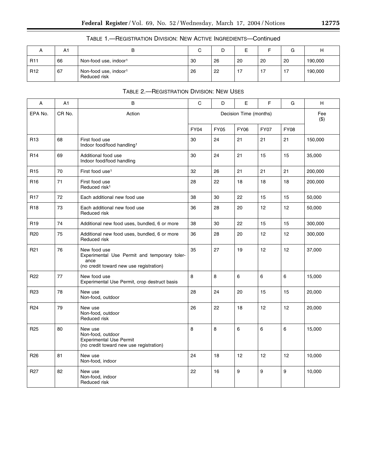$\equiv$ 

|            |    | 1006 - 11<br><u>I ILUIDITIOITUOIN LIVIOIUI, TILIVITUOITUU ILUILIVITU</u> |    |    |    | <b>VUITURU</b> |    |         |
|------------|----|--------------------------------------------------------------------------|----|----|----|----------------|----|---------|
|            | .  |                                                                          |    |    | -  |                |    |         |
| <b>R11</b> | 66 | Non-food use, indoor <sup>1</sup>                                        | 30 | 26 | 20 | 20             | 20 | 190.000 |

26 22 17 17 17 190,000

# TABLE 1.—REGISTRATION DIVISION: NEW ACTIVE INGREDIENTS—Continued

| TABLE 2.-REGISTRATION DIVISION: NEW USES |  |
|------------------------------------------|--|
|------------------------------------------|--|

R12 | 67 | Non-food use, indoor<sup>1</sup>

Reduced risk

| А               | A1     | В                                                                                                               | C           | D           | Е                      | F           | G           | н              |
|-----------------|--------|-----------------------------------------------------------------------------------------------------------------|-------------|-------------|------------------------|-------------|-------------|----------------|
| EPA No.         | CR No. | Action                                                                                                          |             |             | Decision Time (months) |             |             | Fee<br>$($ \$) |
|                 |        |                                                                                                                 | <b>FY04</b> | <b>FY05</b> | <b>FY06</b>            | <b>FY07</b> | <b>FY08</b> |                |
| R <sub>13</sub> | 68     | First food use<br>Indoor food/food handling <sup>1</sup>                                                        | 30          | 24          | 21                     | 21          | 21          | 150,000        |
| R <sub>14</sub> | 69     | Additional food use<br>Indoor food/food handling                                                                | 30          | 24          | 21                     | 15          | 15          | 35,000         |
| R <sub>15</sub> | 70     | First food use <sup>1</sup>                                                                                     | 32          | 26          | 21                     | 21          | 21          | 200,000        |
| R <sub>16</sub> | 71     | First food use<br>Reduced risk <sup>1</sup>                                                                     | 28          | 22          | 18                     | 18          | 18          | 200,000        |
| <b>R17</b>      | 72     | Each additional new food use                                                                                    | 38          | 30          | 22                     | 15          | 15          | 50,000         |
| R <sub>18</sub> | 73     | Each additional new food use<br>Reduced risk                                                                    | 36          | 28          | 20                     | 12          | 12          | 50,000         |
| R <sub>19</sub> | 74     | Additional new food uses, bundled, 6 or more                                                                    | 38          | 30          | 22                     | 15          | 15          | 300,000        |
| R <sub>20</sub> | 75     | Additional new food uses, bundled, 6 or more<br>Reduced risk                                                    | 36          | 28          | 20                     | 12          | 12          | 300,000        |
| R <sub>21</sub> | 76     | New food use<br>Experimental Use Permit and temporary toler-<br>ance<br>(no credit toward new use registration) | 35          | 27          | 19                     | 12          | 12          | 37,000         |
| R <sub>22</sub> | 77     | New food use<br>Experimental Use Permit, crop destruct basis                                                    | 8           | 8           | 6                      | 6           | 6           | 15,000         |
| R <sub>23</sub> | 78     | New use<br>Non-food, outdoor                                                                                    | 28          | 24          | 20                     | 15          | 15          | 20,000         |
| R <sub>24</sub> | 79     | New use<br>Non-food, outdoor<br>Reduced risk                                                                    | 26          | 22          | 18                     | 12          | 12          | 20,000         |
| R <sub>25</sub> | 80     | New use<br>Non-food, outdoor<br><b>Experimental Use Permit</b><br>(no credit toward new use registration)       | 8           | 8           | 6                      | 6           | 6           | 15,000         |
| R <sub>26</sub> | 81     | New use<br>Non-food, indoor                                                                                     | 24          | 18          | 12                     | 12          | 12          | 10,000         |
| R <sub>27</sub> | 82     | New use<br>Non-food, indoor<br>Reduced risk                                                                     | 22          | 16          | 9                      | 9           | 9           | 10,000         |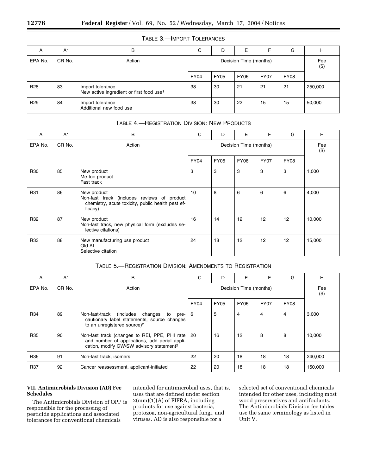| A               | A <sub>1</sub> | в                                                                        | C    | D           | Е           |             | G           | н       |
|-----------------|----------------|--------------------------------------------------------------------------|------|-------------|-------------|-------------|-------------|---------|
| EPA No.         | CR No.         | Action                                                                   |      |             | Fee<br>(3)  |             |             |         |
|                 |                |                                                                          | FY04 | <b>FY05</b> | <b>FY06</b> | <b>FY07</b> | <b>FY08</b> |         |
| R <sub>28</sub> | 83             | Import tolerance<br>New active ingredient or first food use <sup>1</sup> | 38   | 30          | 21          | 21          | 21          | 250,000 |
| R <sub>29</sub> | 84             | Import tolerance<br>Additional new food use                              | 38   | 30          | 22          | 15          | 15          | 50,000  |

# TABLE 3.—IMPORT TOLERANCES

# TABLE 4.—REGISTRATION DIVISION: NEW PRODUCTS

| A               | A <sub>1</sub> | В                                                                                                                          | C           | D                      | E           | F              | G           | H      |
|-----------------|----------------|----------------------------------------------------------------------------------------------------------------------------|-------------|------------------------|-------------|----------------|-------------|--------|
| EPA No.         | CR No.         | Action                                                                                                                     |             | Decision Time (months) |             | Fee<br>$($ \$) |             |        |
|                 |                |                                                                                                                            | <b>FY04</b> | <b>FY05</b>            | <b>FY06</b> | <b>FY07</b>    | <b>FY08</b> |        |
| R <sub>30</sub> | 85             | New product<br>Me-too product<br>Fast track                                                                                | 3           | 3                      | 3           | 3              | 3           | 1,000  |
| R31             | 86             | New product<br>Non-fast track (includes reviews of product<br>chemistry, acute toxicity, public health pest ef-<br>ficacy) | 10          | 8                      | 6           | 6              | 6           | 4,000  |
| R32             | 87             | New product<br>Non-fast track, new physical form (excludes se-<br>lective citations)                                       | 16          | 14                     | 12          | 12             | 12          | 10,000 |
| R33             | 88             | New manufacturing use product<br>Old Al<br>Selective citation                                                              | 24          | 18                     | 12          | 12             | 12          | 15,000 |

# TABLE 5.—REGISTRATION DIVISION: AMENDMENTS TO REGISTRATION

| A               | A <sub>1</sub> | B                                                                                                                                                      | C           | D           | E              | F           | G           | н       |
|-----------------|----------------|--------------------------------------------------------------------------------------------------------------------------------------------------------|-------------|-------------|----------------|-------------|-------------|---------|
| EPA No.         | CR No.         | Action                                                                                                                                                 |             |             | Fee<br>$($ \$) |             |             |         |
|                 |                |                                                                                                                                                        | <b>FY04</b> | <b>FY05</b> | FY06           | <b>FY07</b> | <b>FY08</b> |         |
| R34             | 89             | Non-fast-track (includes changes to pre-<br>cautionary label statements, source changes<br>to an unregistered source) <sup>2</sup>                     | - 6         | 5           | 4              | 4           | 4           | 3,000   |
| R <sub>35</sub> | 90             | Non-fast track (changes to REI, PPE, PHI rate<br>and number of applications, add aerial appli-<br>cation, modify GW/SW advisory statement <sup>2</sup> | -20         | 16          | 12             | 8           | 8           | 10,000  |
| R36             | 91             | Non-fast track, isomers                                                                                                                                | 22          | 20          | 18             | 18          | 18          | 240,000 |
| R37             | 92             | Cancer reassessment, applicant-initiated                                                                                                               | 22          | 20          | 18             | 18          | 18          | 150,000 |

# **VII. Antimicrobials Division (AD) Fee Schedules**

The Antimicrobials Division of OPP is responsible for the processing of pesticide applications and associated tolerances for conventional chemicals

intended for antimicrobial uses, that is, uses that are defined under section 2(mm)(1)(A) of FIFRA, including products for use against bacteria, protozoa, non-agricultural fungi, and viruses. AD is also responsible for a

selected set of conventional chemicals intended for other uses, including most wood preservatives and antifoulants. The Antimicrobials Division fee tables use the same terminology as listed in Unit V.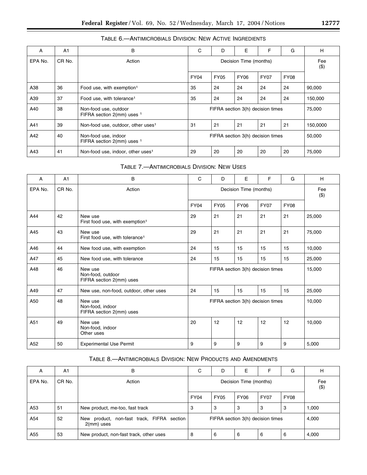| A       | A <sub>1</sub> | B                                                   | C           | D                                 | E              | F           | G           | H        |
|---------|----------------|-----------------------------------------------------|-------------|-----------------------------------|----------------|-------------|-------------|----------|
| EPA No. | CR No.         | Action                                              |             |                                   | Fee<br>$($ \$) |             |             |          |
|         |                |                                                     | <b>FY04</b> | <b>FY05</b>                       | <b>FY06</b>    | <b>FY07</b> | <b>FY08</b> |          |
| A38     | 36             | Food use, with exemption <sup>1</sup>               | 35          | 24                                | 24             | 24          | 24          | 90,000   |
| A39     | 37             | Food use, with tolerance <sup>1</sup>               | 35          | 24                                | 24             | 24          | 24          | 150,000  |
| A40     | 38             | Non-food use, outdoor<br>FIFRA section 2(mm) uses 1 |             | FIFRA section 3(h) decision times |                |             |             | 75,000   |
| A41     | 39             | Non-food use, outdoor, other uses <sup>1</sup>      | 31          | 21                                | 21             | 21          | 21          | 150,0000 |
| A42     | 40             | Non-food use, indoor<br>FIFRA section 2(mm) uses 1  |             | FIFRA section 3(h) decision times | 50,000         |             |             |          |
| A43     | 41             | Non-food use, indoor, other uses <sup>1</sup>       | 29          | 20                                | 20             | 20          | 20          | 75,000   |

# TABLE 6.—ANTIMICROBIALS DIVISION: NEW ACTIVE INGREDIENTS

| TABLE 7. ANTIMICROBIALS DIVISION: NEW USES |  |  |  |
|--------------------------------------------|--|--|--|
|--------------------------------------------|--|--|--|

| A       | A <sub>1</sub>    | B                                                        | C                      | D                                 | E           | F           | G           | H              |
|---------|-------------------|----------------------------------------------------------|------------------------|-----------------------------------|-------------|-------------|-------------|----------------|
| EPA No. | CR <sub>No.</sub> | Action                                                   | Decision Time (months) |                                   |             |             |             | Fee<br>$($ \$) |
|         |                   |                                                          | <b>FY04</b>            | <b>FY05</b>                       | <b>FY06</b> | <b>FY07</b> | <b>FY08</b> |                |
| A44     | 42                | New use<br>First food use, with exemption <sup>1</sup>   | 29                     | 21                                | 21          | 21          | 21          | 25,000         |
| A45     | 43                | New use<br>First food use, with tolerance <sup>1</sup>   | 29                     | 21                                | 21          | 21          | 21          | 75,000         |
| A46     | 44                | New food use, with exemption                             | 24                     | 15                                | 15          | 15          | 15          | 10,000         |
| A47     | 45                | New food use, with tolerance                             | 24                     | 15                                | 15          | 15          | 15          | 25,000         |
| A48     | 46                | New use<br>Non-food, outdoor<br>FIFRA section 2(mm) uses |                        | FIFRA section 3(h) decision times |             |             |             | 15,000         |
| A49     | 47                | New use, non-food, outdoor, other uses                   | 24                     | 15                                | 15          | 15          | 15          | 25,000         |
| A50     | 48                | New use<br>Non-food, indoor<br>FIFRA section 2(mm) uses  |                        | FIFRA section 3(h) decision times |             |             |             | 10,000         |
| A51     | 49                | New use<br>Non-food, indoor<br>Other uses                | 20                     | 12                                | 12          | 12          | 12          | 10,000         |
| A52     | 50                | <b>Experimental Use Permit</b>                           | 9                      | 9                                 | 9           | 9           | 9           | 5,000          |

# TABLE 8.—ANTIMICROBIALS DIVISION: NEW PRODUCTS AND AMENDMENTS

| A       | A <sub>1</sub> | в                                                           | C           | D                                 | E             | F           | G           | н     |
|---------|----------------|-------------------------------------------------------------|-------------|-----------------------------------|---------------|-------------|-------------|-------|
| EPA No. | CR No.         | Action                                                      |             |                                   | Fee<br>( \$ ) |             |             |       |
|         |                |                                                             | <b>FY04</b> | <b>FY05</b>                       | <b>FY06</b>   | <b>FY07</b> | <b>FY08</b> |       |
| A53     | -51            | New product, me-too, fast track                             | 3           | 3                                 | 3             | 3           | 3           | 1,000 |
| A54     | 52             | New product, non-fast track, FIFRA section<br>$2$ (mm) uses |             | FIFRA section 3(h) decision times | 4,000         |             |             |       |
| A55     | 53             | New product, non-fast track, other uses                     | 8           | 6                                 | 6             | 6           | 6           | 4,000 |

▀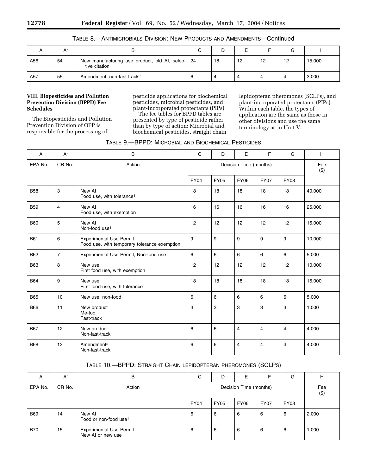|     | A1 |                                                                   |    | ᄂ        |    |    |        |
|-----|----|-------------------------------------------------------------------|----|----------|----|----|--------|
| A56 | 54 | New manufacturing use product, old AI, selec- 24<br>tive citation | 18 | 10<br>╶╹ | 12 | 12 | 15,000 |
| A57 | 55 | Amendment, non-fast track <sup>2</sup>                            |    | 4        | 4  | 4  | 3,000  |

| TABLE 8.—ANTIMICROBIALS DIVISION: NEW PRODUCTS AND AMENDMENTS—Continued |  |
|-------------------------------------------------------------------------|--|
|-------------------------------------------------------------------------|--|

# **VIII. Biopesticides and Pollution Prevention Division (BPPD) Fee Schedules**

The Biopesticides and Pollution Prevention Division of OPP is responsible for the processing of

pesticide applications for biochemical pesticides, microbial pesticides, and plant-incorporated protectants (PIPs).

The fee tables for BPPD tables are presented by type of pesticide rather than by type of action: Microbial and biochemical pesticides, straight chain lepidopteran pheromones (SCLPs), and plant-incorporated protectants (PIPs). Within each table, the types of application are the same as those in other divisions and use the same terminology as in Unit V.

| TABLE 9.-BPPD: MICROBIAL AND BIOCHEMICAL PESTICIDES |  |
|-----------------------------------------------------|--|
|-----------------------------------------------------|--|

| $\overline{A}$ | A1                | B                                                                              | C                      | D           | E              | F           | G           | H            |
|----------------|-------------------|--------------------------------------------------------------------------------|------------------------|-------------|----------------|-------------|-------------|--------------|
| EPA No.        | CR <sub>No.</sub> | Action                                                                         | Decision Time (months) |             |                |             |             | Fee<br>( \$) |
|                |                   |                                                                                | <b>FY04</b>            | <b>FY05</b> | <b>FY06</b>    | <b>FY07</b> | <b>FY08</b> |              |
| <b>B58</b>     | 3                 | New AI<br>Food use, with tolerance <sup>1</sup>                                | 18                     | 18          | 18             | 18          | 18          | 40,000       |
| <b>B59</b>     | $\overline{4}$    | New AI<br>Food use, with exemption <sup>1</sup>                                | 16                     | 16          | 16             | 16          | 16          | 25,000       |
| <b>B60</b>     | 5                 | New AI<br>Non-food use <sup>1</sup>                                            | 12                     | 12          | 12             | 12          | 12          | 15,000       |
| <b>B61</b>     | 6                 | <b>Experimental Use Permit</b><br>Food use, with temporary tolerance exemption | 9                      | 9           | 9              | 9           | 9           | 10,000       |
| <b>B62</b>     | $\overline{7}$    | Experimental Use Permit, Non-food use                                          | 6                      | 6           | 6              | 6           | 6           | 5,000        |
| <b>B63</b>     | 8                 | New use<br>First food use, with exemption                                      | 12                     | 12          | 12             | 12          | 12          | 10,000       |
| <b>B64</b>     | 9                 | New use<br>First food use, with tolerance <sup>1</sup>                         | 18                     | 18          | 18             | 18          | 18          | 15,000       |
| <b>B65</b>     | 10                | New use, non-food                                                              | 6                      | 6           | 6              | 6           | 6           | 5,000        |
| <b>B66</b>     | 11                | New product<br>Me-too<br>Fast-track                                            | 3                      | 3           | 3              | 3           | 3           | 1,000        |
| <b>B67</b>     | 12                | New product<br>Non-fast-track                                                  | 6                      | 6           | $\overline{4}$ | 4           | 4           | 4,000        |
| <b>B68</b>     | 13                | Amendment <sup>2</sup><br>Non-fast-track                                       | 6                      | 6           | 4              | 4           | 4           | 4,000        |

# TABLE 10.—BPPD: STRAIGHT CHAIN LEPIDOPTERAN PHEROMONES (SCLPS)

| A          | A <sub>1</sub> | в                                                   | C           | D    | E             | F           | G    | Н     |
|------------|----------------|-----------------------------------------------------|-------------|------|---------------|-------------|------|-------|
| EPA No.    | CR No.         | Action                                              |             |      | Fee<br>( \$ ) |             |      |       |
|            |                |                                                     | <b>FY04</b> | FY05 | <b>FY06</b>   | <b>FY07</b> | FY08 |       |
| <b>B69</b> | 14             | New AI<br>Food or non-food use <sup>1</sup>         | 6           | 6    | 6             | 6           | 6    | 2,000 |
| <b>B70</b> | 15             | <b>Experimental Use Permit</b><br>New AI or new use | 6           | 6    | 6             | 6           | 6    | 1,000 |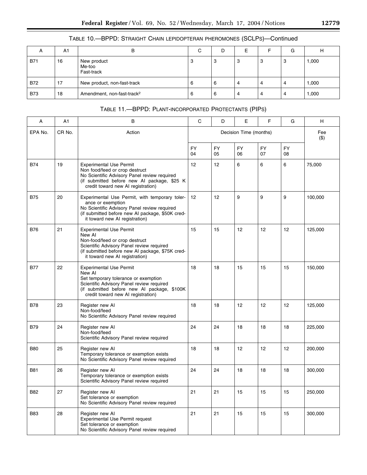| A   | A <sub>1</sub> | B                                      | С | D | E |   | G | н     |
|-----|----------------|----------------------------------------|---|---|---|---|---|-------|
| B71 | 16             | New product<br>Me-too<br>Fast-track    |   | 3 | 3 | 3 | 3 | 1,000 |
| B72 | 17             | New product, non-fast-track            | 6 | 6 |   | 4 | 4 | 1,000 |
| B73 | 18             | Amendment, non-fast-track <sup>2</sup> |   | 6 |   | 4 | 4 | 1,000 |

# TABLE 10.—BPPD: STRAIGHT CHAIN LEPIDOPTERAN PHEROMONES (SCLPS)—Continued

# TABLE 11.—BPPD: PLANT-INCORPORATED PROTECTANTS (PIPS)

| A          | A1     | B                                                                                                                                                                                                                  | C        | D                      | Е               | F               | G               | н       |
|------------|--------|--------------------------------------------------------------------------------------------------------------------------------------------------------------------------------------------------------------------|----------|------------------------|-----------------|-----------------|-----------------|---------|
| EPA No.    | CR No. | Action                                                                                                                                                                                                             |          | Decision Time (months) |                 |                 |                 |         |
|            |        |                                                                                                                                                                                                                    | FY<br>04 | <b>FY</b><br>05        | <b>FY</b><br>06 | <b>FY</b><br>07 | <b>FY</b><br>08 |         |
| <b>B74</b> | 19     | <b>Experimental Use Permit</b><br>Non food/feed or crop destruct<br>No Scientific Advisory Panel review required<br>(if submitted before new AI package, \$25 K<br>credit toward new AI registration)              | 12       | 12                     | 6               | 6               | 6               | 75,000  |
| <b>B75</b> | 20     | Experimental Use Permit, with temporary toler-<br>ance or exemption<br>No Scientific Advisory Panel review required<br>(if submitted before new AI package, \$50K cred-<br>it toward new AI registration)          | 12       | 12                     | 9               | 9               | 9               | 100,000 |
| <b>B76</b> | 21     | <b>Experimental Use Permit</b><br>New AI<br>Non-food/feed or crop destruct<br>Scientific Advisory Panel review required<br>(if submitted before new AI package, \$75K cred-<br>it toward new AI registration)      | 15       | 15                     | 12              | 12              | 12              | 125,000 |
| <b>B77</b> | 22     | <b>Experimental Use Permit</b><br>New AI<br>Set temporary tolerance or exemption<br>Scientific Advisory Panel review required<br>(if submitted before new AI package, \$100K<br>credit toward new AI registration) | 18       | 18                     | 15              | 15              | 15              | 150,000 |
| <b>B78</b> | 23     | Register new Al<br>Non-food/feed<br>No Scientific Advisory Panel review required                                                                                                                                   | 18       | 18                     | 12              | 12              | 12              | 125,000 |
| <b>B79</b> | 24     | Register new Al<br>Non-food/feed<br>Scientific Advisory Panel review required                                                                                                                                      | 24       | 24                     | 18              | 18              | 18              | 225,000 |
| <b>B80</b> | 25     | Register new Al<br>Temporary tolerance or exemption exists<br>No Scientific Advisory Panel review required                                                                                                         | 18       | 18                     | 12              | 12              | 12              | 200,000 |
| <b>B81</b> | 26     | Register new Al<br>Temporary tolerance or exemption exists<br>Scientific Advisory Panel review required                                                                                                            | 24       | 24                     | 18              | 18              | 18              | 300,000 |
| B82        | 27     | Register new Al<br>Set tolerance or exemption<br>No Scientific Advisory Panel review required                                                                                                                      | 21       | 21                     | 15              | 15              | 15              | 250,000 |
| <b>B83</b> | 28     | Register new Al<br>Experimental Use Permit request<br>Set tolerance or exemption<br>No Scientific Advisory Panel review required                                                                                   | 21       | 21                     | 15              | 15              | 15              | 300,000 |

 $\equiv$